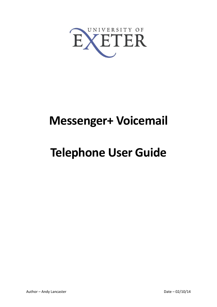

# **Messenger+ Voicemail**

# **Telephone User Guide**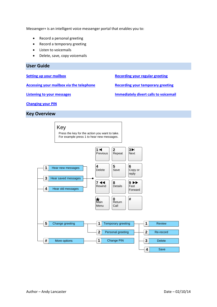Messenger+ is an intelligent voice messenger portal that enables you to:

- Record a personal greeting
- Record a temporary greeting
- Listen to voicemails
- Delete, save, copy voicemails

#### **User Guide**

**[Setting up your mailbox](#page-1-0)**

**[Accessing your mailbox via the telephone](#page-2-0)**

**[Recording your regular greeting](#page-3-0)**

**[Recording your temporary greeting](#page-3-1)**

**[Listening to your messages](#page-2-1)**

**[Immediately divert calls to voicemail](#page-3-2)**

**[Changing your PIN](#page-2-2)**

**Key Overview**

<span id="page-1-0"></span>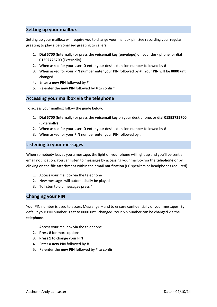# **Setting up your mailbox**

Setting up your mailbox will require you to change your mailbox pin. See recording your regular greeting to play a personalised greeting to callers.

- 1. **Dial 5700** (Internally) or press the **voicemail key (envelope)** on your desk phone, or **dial 01392725700** (Externally)
- 2. When asked for your **user ID** enter your desk extension number followed by **#**
- 3. When asked for your **PIN** number enter your PIN followed by **#.** Your PIN will be **0000** until changed.
- 4. Enter a **new PIN** followed by **#**
- 5. Re-enter the **new PIN** followed by **#** to confirm

#### <span id="page-2-0"></span>**Accessing your mailbox via the telephone**

To access your mailbox follow the guide below.

- 1. **Dial 5700** (Internally) or press the **voicemail key** on your desk phone, or **dial 01392725700** (Externally)
- 2. When asked for your **user ID** enter your desk extension number followed by #
- 3. When asked for your **PIN** number enter your PIN followed by #

#### <span id="page-2-1"></span>**Listening to your messages**

When somebody leaves you a message, the light on your phone will light up and you'll be sent an email notification. You can listen to messages by accessing your mailbox via the **telephone** or by clicking on the **file attachment** within the **email notification** (PC speakers or headphones required).

- 1. Access your mailbox via the telephone
- 2. New messages will automatically be played
- <span id="page-2-2"></span>3. To listen to old messages press 4

## **Changing your PIN**

Your PIN number is used to access Messenger+ and to ensure confidentially of your messages. By default your PIN number is set to 0000 until changed. Your pin number can be changed via the **telephone**.

- 1. Access your mailbox via the telephone
- 2. **Press #** for more options
- 3. **Press 1** to change your PIN
- 4. Enter a **new PIN** followed by **#**
- 5. Re-enter the **new PIN** followed by **#** to confirm